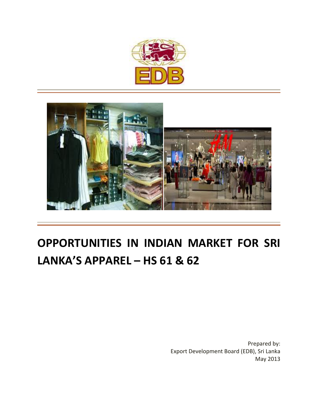



# **OPPORTUNITIES IN INDIAN MARKET FOR SRI LANKA'S APPAREL – HS 61 & 62**

Prepared by: Export Development Board (EDB), Sri Lanka May 2013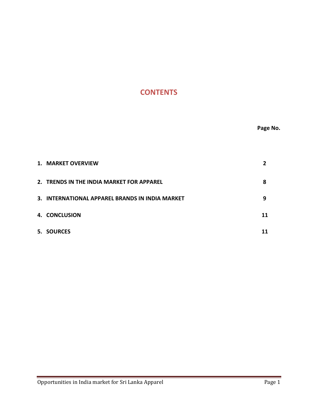# **CONTENTS**

| 1. MARKET OVERVIEW                              |    |
|-------------------------------------------------|----|
| 2. TRENDS IN THE INDIA MARKET FOR APPAREL       | 8  |
| 3. INTERNATIONAL APPAREL BRANDS IN INDIA MARKET | 9  |
| 4. CONCLUSION                                   | 11 |
| 5. SOURCES                                      |    |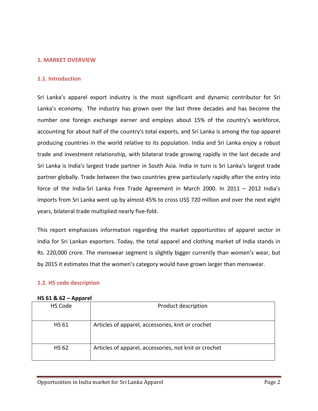# **1. MARKET OVERVIEW**

#### **1.1. Introduction**

Sri Lanka's apparel export industry is the most significant and dynamic contributor for Sri Lanka's economy. The industry has grown over the last three decades and has become the number one foreign exchange earner and employs about 15% of the country's workforce, accounting for about half of the country's total exports, and Sri Lanka is among the top apparel producing countries in the world relative to its population. India and Sri Lanka enjoy a robust trade and investment relationship, with bilateral trade growing rapidly in the last decade and Sri Lanka is India's largest trade partner in South Asia. India in turn is Sri Lanka's largest trade partner globally. Trade between the two countries grew particularly rapidly after the entry into force of the India‐Sri Lanka Free Trade Agreement in March 2000. In 2011 – 2012 India's imports from Sri Lanka went up by almost 45% to cross US\$ 720 million and over the next eight years, bilateral trade multiplied nearly five-fold.

This report emphasizes information regarding the market opportunities of apparel sector in India for Sri Lankan exporters. Today, the total apparel and clothing market of India stands in Rs. 220,000 crore. The menswear segment is slightly bigger currently than women's wear, but by 2015 it estimates that the women's category would have grown larger than menswear.

# **1.2. HS code description**

#### **HS 61 & 62 – Apparel**

| HS Code      | Product description                                   |
|--------------|-------------------------------------------------------|
| <b>HS 61</b> | Articles of apparel, accessories, knit or crochet     |
| <b>HS 62</b> | Articles of apparel, accessories, not knit or crochet |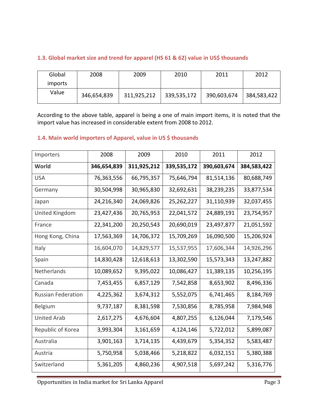| Global  | 2008        | 2009        | 2010        | 2011        | 2012        |
|---------|-------------|-------------|-------------|-------------|-------------|
| imports |             |             |             |             |             |
| Value   | 346,654,839 | 311,925,212 | 339,535,172 | 390,603,674 | 384,583,422 |

# **1.3. Global market size and trend for apparel (HS 61 & 62) value in US\$ thousands**

According to the above table, apparel is being a one of main import items, it is noted that the import value has increased in considerable extent from 2008 to 2012.

# **1.4. Main world importers of Apparel, value in US \$ thousands**

| Importers                 | 2008        | 2009        | 2010        | 2011        | 2012        |
|---------------------------|-------------|-------------|-------------|-------------|-------------|
| World                     | 346,654,839 | 311,925,212 | 339,535,172 | 390,603,674 | 384,583,422 |
| <b>USA</b>                | 76,363,556  | 66,795,357  | 75,646,794  | 81,514,136  | 80,688,749  |
| Germany                   | 30,504,998  | 30,965,830  | 32,692,631  | 38,239,235  | 33,877,534  |
| Japan                     | 24,216,340  | 24,069,826  | 25,262,227  | 31,110,939  | 32,037,455  |
| United Kingdom            | 23,427,436  | 20,765,953  | 22,041,572  | 24,889,191  | 23,754,957  |
| France                    | 22,341,200  | 20,250,543  | 20,690,019  | 23,497,877  | 21,051,592  |
| Hong Kong, China          | 17,563,369  | 14,706,372  | 15,709,269  | 16,090,500  | 15,206,924  |
| Italy                     | 16,604,070  | 14,829,577  | 15,537,955  | 17,606,344  | 14,926,296  |
| Spain                     | 14,830,428  | 12,618,613  | 13,302,590  | 15,573,343  | 13,247,882  |
| Netherlands               | 10,089,652  | 9,395,022   | 10,086,427  | 11,389,135  | 10,256,195  |
| Canada                    | 7,453,455   | 6,857,129   | 7,542,858   | 8,653,902   | 8,496,336   |
| <b>Russian Federation</b> | 4,225,362   | 3,674,312   | 5,552,075   | 6,741,465   | 8,184,769   |
| <b>Belgium</b>            | 9,737,187   | 8,381,598   | 7,530,856   | 8,785,958   | 7,984,948   |
| <b>United Arab</b>        | 2,617,275   | 4,676,604   | 4,807,255   | 6,126,044   | 7,179,546   |
| Republic of Korea         | 3,993,304   | 3,161,659   | 4,124,146   | 5,722,012   | 5,899,087   |
| Australia                 | 3,901,163   | 3,714,135   | 4,439,679   | 5,354,352   | 5,583,487   |
| Austria                   | 5,750,958   | 5,038,466   | 5,218,822   | 6,032,151   | 5,380,388   |
| Switzerland               | 5,361,205   | 4,860,236   | 4,907,518   | 5,697,242   | 5,316,776   |

Opportunities in India market for Sri Lanka Apparel **Page 3** Page 3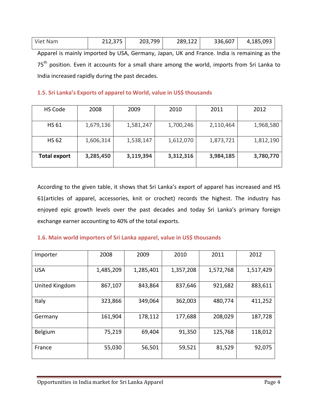| Viet Nam | 212,375 | 203,799 | 289,122 | 336,607 | 4,185,093 |
|----------|---------|---------|---------|---------|-----------|
|          |         |         |         |         |           |

Apparel is mainly imported by USA, Germany, Japan, UK and France. India is remaining as the 75<sup>th</sup> position. Even it accounts for a small share among the world, imports from Sri Lanka to India increased rapidly during the past decades.

# **1.5. Sri Lanka's Exports of apparel to World, value in US\$ thousands**

| HS Code             | 2008      | 2009      | 2010      | 2011      | 2012      |
|---------------------|-----------|-----------|-----------|-----------|-----------|
| <b>HS 61</b>        | 1,679,136 | 1,581,247 | 1,700,246 | 2,110,464 | 1,968,580 |
| <b>HS 62</b>        | 1,606,314 | 1,538,147 | 1,612,070 | 1,873,721 | 1,812,190 |
| <b>Total export</b> | 3,285,450 | 3,119,394 | 3,312,316 | 3,984,185 | 3,780,770 |

According to the given table, it shows that Sri Lanka's export of apparel has increased and HS 61(articles of apparel, accessories, knit or crochet) records the highest. The industry has enjoyed epic growth levels over the past decades and today Sri Lanka's primary foreign exchange earner accounting to 40% of the total exports.

# **1.6. Main world importers of Sri Lanka apparel, value in US\$ thousands**

| Importer       | 2008      | 2009      | 2010      | 2011      | 2012      |
|----------------|-----------|-----------|-----------|-----------|-----------|
| <b>USA</b>     | 1,485,209 | 1,285,401 | 1,357,208 | 1,572,768 | 1,517,429 |
| United Kingdom | 867,107   | 843,864   | 837,646   | 921,682   | 883,611   |
| Italy          | 323,866   | 349,064   | 362,003   | 480,774   | 411,252   |
| Germany        | 161,904   | 178,112   | 177,688   | 208,029   | 187,728   |
| Belgium        | 75,219    | 69,404    | 91,350    | 125,768   | 118,012   |
| France         | 55,030    | 56,501    | 59,521    | 81,529    | 92,075    |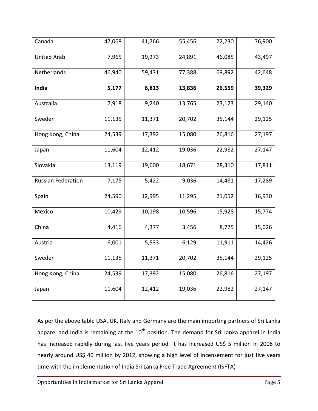| Canada                    | 47,068 | 41,766 | 55,456 | 72,230 | 76,900 |
|---------------------------|--------|--------|--------|--------|--------|
| <b>United Arab</b>        | 7,965  | 19,273 | 24,891 | 46,085 | 43,497 |
| Netherlands               | 46,940 | 59,431 | 77,388 | 69,892 | 42,648 |
| India                     | 5,177  | 6,813  | 13,836 | 26,559 | 39,329 |
| Australia                 | 7,918  | 9,240  | 13,765 | 23,123 | 29,140 |
| Sweden                    | 11,135 | 11,371 | 20,702 | 35,144 | 29,125 |
| Hong Kong, China          | 24,539 | 17,392 | 15,080 | 26,816 | 27,197 |
| Japan                     | 11,604 | 12,412 | 19,036 | 22,982 | 27,147 |
| Slovakia                  | 13,119 | 19,600 | 18,671 | 28,310 | 17,811 |
| <b>Russian Federation</b> | 7,175  | 5,422  | 9,036  | 14,481 | 17,289 |
| Spain                     | 24,590 | 12,995 | 11,295 | 21,052 | 16,930 |
| Mexico                    | 10,429 | 10,198 | 10,596 | 15,928 | 15,774 |
| China                     | 4,416  | 4,377  | 3,456  | 8,775  | 15,026 |
| Austria                   | 6,001  | 5,533  | 6,129  | 11,911 | 14,426 |
| Sweden                    | 11,135 | 11,371 | 20,702 | 35,144 | 29,125 |
| Hong Kong, China          | 24,539 | 17,392 | 15,080 | 26,816 | 27,197 |
| Japan                     | 11,604 | 12,412 | 19,036 | 22,982 | 27,147 |

As per the above table USA, UK, Italy and Germany are the main importing partners of Sri Lanka apparel and India is remaining at the  $10<sup>th</sup>$  position. The demand for Sri Lanka apparel in India has increased rapidly during last five years period. It has increased US\$ 5 million in 2008 to nearly around US\$ 40 million by 2012, showing a high level of incensement for just five years time with the implementation of India Sri Lanka Free Trade Agreement (ISFTA)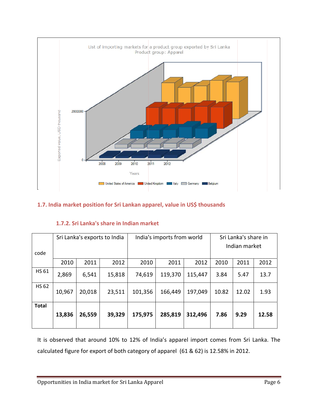

# 1.7. India market position for Sri Lankan apparel, value in US\$ thousands

| code         |        |        | Sri Lanka's exports to India | India's imports from world |         |         | Sri Lanka's share in<br>Indian market |       |       |
|--------------|--------|--------|------------------------------|----------------------------|---------|---------|---------------------------------------|-------|-------|
|              | 2010   | 2011   | 2012                         | 2010                       | 2011    | 2012    | 2010                                  | 2011  | 2012  |
| <b>HS 61</b> | 2,869  | 6,541  | 15,818                       | 74,619                     | 119,370 | 115,447 | 3.84                                  | 5.47  | 13.7  |
| <b>HS 62</b> | 10,967 | 20,018 | 23,511                       | 101,356                    | 166,449 | 197,049 | 10.82                                 | 12.02 | 1.93  |
| <b>Total</b> | 13,836 | 26,559 | 39,329                       | 175,975                    | 285,819 | 312,496 | 7.86                                  | 9.29  | 12.58 |

# 1.7.2. Sri Lanka's share in Indian market

It is observed that around 10% to 12% of India's apparel import comes from Sri Lanka. The calculated figure for export of both category of apparel (61 & 62) is 12.58% in 2012.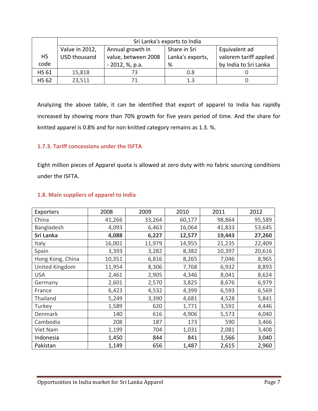|              |                     | Sri Lanka's exports to India |                  |                        |  |  |  |  |  |
|--------------|---------------------|------------------------------|------------------|------------------------|--|--|--|--|--|
|              | Value in 2012,      | Annual growth in             | Share in Sri     | Equivalent ad          |  |  |  |  |  |
| <b>HS</b>    | <b>USD thousand</b> | value, between 2008          | Lanka's exports, | valorem tariff applied |  |  |  |  |  |
| code         |                     | - 2012, %, p.a.              | %                | by India to Sri Lanka  |  |  |  |  |  |
| <b>HS 61</b> | 15,818              |                              | 0.8              |                        |  |  |  |  |  |
| <b>HS 62</b> | 23,511              |                              | 1.3              |                        |  |  |  |  |  |

Analyzing the above table, it can be identified that export of apparel to India has rapidly increased by showing more than 70% growth for five years period of time. And the share for knitted apparel is 0.8% and for non knitted category remains as 1.3. %.

# **1.7.3. Tariff concessions under the ISFTA**

Eight million pieces of Apparel quota is allowed at zero duty with no fabric sourcing conditions under the ISFTA.

| Exporters        | 2008   | 2009   | 2010   | 2011   | 2012   |
|------------------|--------|--------|--------|--------|--------|
| China            | 41,266 | 33,264 | 60,177 | 98,864 | 95,589 |
| Bangladesh       | 4,093  | 6,463  | 16,064 | 41,833 | 53,645 |
| Sri Lanka        | 4,088  | 6,227  | 12,577 | 19,443 | 27,260 |
| Italy            | 16,001 | 11,979 | 14,955 | 21,235 | 22,409 |
| Spain            | 3,393  | 3,282  | 8,382  | 10,397 | 20,616 |
| Hong Kong, China | 10,351 | 6,816  | 8,265  | 7,046  | 8,965  |
| United Kingdom   | 11,954 | 8,306  | 7,768  | 6,932  | 8,893  |
| <b>USA</b>       | 2,461  | 2,905  | 4,346  | 8,041  | 8,624  |
| Germany          | 2,601  | 2,570  | 3,825  | 8,676  | 6,979  |
| France           | 6,423  | 4,532  | 4,399  | 6,593  | 6,569  |
| Thailand         | 5,249  | 3,390  | 4,681  | 4,528  | 5,841  |
| Turkey           | 1,589  | 620    | 1,771  | 3,591  | 4,446  |
| Denmark          | 140    | 616    | 4,906  | 5,573  | 4,040  |
| Cambodia         | 208    | 187    | 173    | 590    | 3,466  |
| Viet Nam         | 1,199  | 704    | 1,031  | 2,081  | 3,408  |
| Indonesia        | 1,450  | 844    | 841    | 1,566  | 3,040  |
| Pakistan         | 1,149  | 656    | 1,487  | 2,615  | 2,960  |

# **1.8. Main suppliers of apparel to India**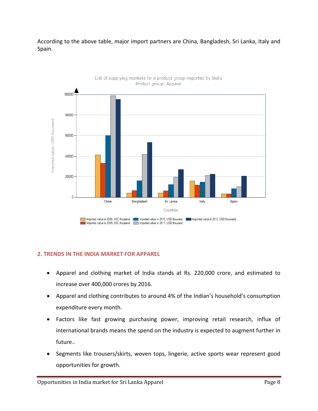According to the above table, major import partners are China, Bangladesh, Sri Lanka, Italy and Spain.



2. TRENDS IN THE INDIA MARKET FOR APPAREL

- Apparel and clothing market of India stands at Rs. 220,000 crore, and estimated to increase over 400,000 crores by 2016.
- Apparel and clothing contributes to around 4% of the Indian's household's consumption expenditure every month.
- Factors like fast growing purchasing power, improving retail research, influx of  $\bullet$ international brands means the spend on the industry is expected to augment further in future..
- Segments like trousers/skirts, woven tops, lingerie, active sports wear represent good  $\bullet$ opportunities for growth.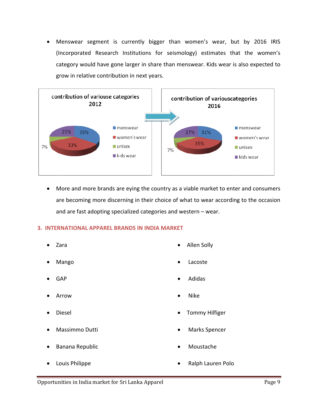Menswear segment is currently bigger than women's wear, but by 2016 IRIS (Incorporated Research Institutions for seismology) estimates that the women's category would have gone larger in share than menswear. Kids wear is also expected to grow in relative contribution in next years.



• More and more brands are eying the country as a viable market to enter and consumers are becoming more discerning in their choice of what to wear according to the occasion and are fast adopting specialized categories and western - wear.

# 3. INTERNATIONAL APPAREL BRANDS IN INDIA MARKET

- Zara
- Mango
- GAP
- Arrow
- Diesel
- Massimmo Dutti
- Banana Republic
- Louis Philippe
- Allen Solly
- Lacoste
- Adidas
- **Nike**
- **Tommy Hilfiger**
- Marks Spencer
- Moustache
- Ralph Lauren Polo